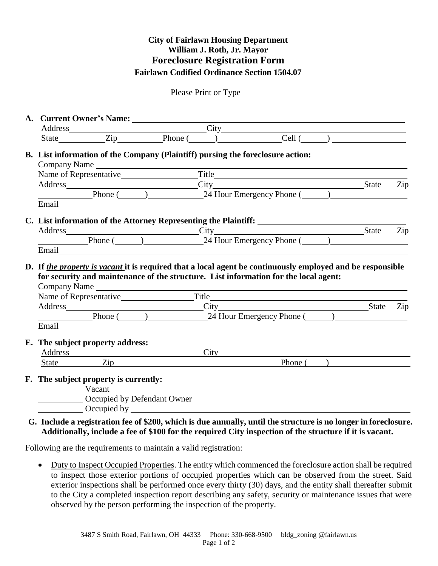## **City of Fairlawn Housing Department William J. Roth, Jr. Mayor Foreclosure Registration Form Fairlawn Codified Ordinance Section 1504.07**

Please Print or Type

| A. Current Owner's Name: $\frac{City}{}$                                                                                                                                                                                                    |  |  |             |  |
|---------------------------------------------------------------------------------------------------------------------------------------------------------------------------------------------------------------------------------------------|--|--|-------------|--|
|                                                                                                                                                                                                                                             |  |  |             |  |
| State Zip Phone ( )<br>Cell ( )                                                                                                                                                                                                             |  |  |             |  |
| B. List information of the Company (Plaintiff) pursing the foreclosure action:                                                                                                                                                              |  |  |             |  |
|                                                                                                                                                                                                                                             |  |  |             |  |
|                                                                                                                                                                                                                                             |  |  |             |  |
| Address City State Zip<br>Phone (24 Hour Emergency Phone (24 Hour Emergency Phone (24 Hour Emergency Phone (24 Hour Emergency Phone (21 March 20 March 21 March 21 March 21 March 21 March 21 March 21 March 21 March 21 March 2            |  |  |             |  |
| Email Particular Contract Contract Contract Contract Contract Contract Contract Contract Contract Contract Contract Contract Contract Contract Contract Contract Contract Contract Contract Contract Contract Contract Contrac              |  |  |             |  |
|                                                                                                                                                                                                                                             |  |  |             |  |
|                                                                                                                                                                                                                                             |  |  |             |  |
| Address City State Zip<br>Phone (24 Hour Emergency Phone (24 Hour Emergency Phone (24 Hour Emergency Phone (24 Hour Emergency Phone (24 Hour Emergency Phone (24 Hour Emergency Phone (24 Hour Emergency Phone (24 Hour Emergency           |  |  |             |  |
|                                                                                                                                                                                                                                             |  |  |             |  |
| D. If the property is vacant it is required that a local agent be continuously employed and be responsible                                                                                                                                  |  |  |             |  |
| for security and maintenance of the structure. List information for the local agent:                                                                                                                                                        |  |  |             |  |
| Company Name experience and the company Name experience of the set of the contract of the contract of the contract of the contract of the contract of the contract of the contract of the contract of the contract of the cont              |  |  |             |  |
|                                                                                                                                                                                                                                             |  |  |             |  |
| Address State Zip                                                                                                                                                                                                                           |  |  |             |  |
| Phone (24 Hour Emergency Phone (24 Hour Emergency Phone (24 Hour Emergency Phone (24 Hour Emergency Phone (24 Hour Emergency Phone (24 Hour Emergency Phone (24 Hour Emergency Phone (24 Hour Emergency Phone (24 Hour Emergen              |  |  |             |  |
| E. The subject property address:                                                                                                                                                                                                            |  |  |             |  |
|                                                                                                                                                                                                                                             |  |  |             |  |
| Address and the state of the state of the state of the state of the state of the state of the state of the state of the state of the state of the state of the state of the state of the state of the state of the state of th<br>State Zip |  |  | Phone $($ ) |  |
| F. The subject property is currently:                                                                                                                                                                                                       |  |  |             |  |
|                                                                                                                                                                                                                                             |  |  |             |  |
| Vacant<br>Occupied by Defendant Owner                                                                                                                                                                                                       |  |  |             |  |
| Complete by Complete by Complete and Security Complete and Security Complete and Security Complete and Security Complete and Security Complete and Security Complete and Security Complete and Security Complete and Security               |  |  |             |  |

**G. Include a registration fee of \$200, which is due annually, until the structure is no longer in foreclosure. Additionally, include a fee of \$100 for the required City inspection of the structure if it is vacant.**

Following are the requirements to maintain a valid registration:

• Duty to Inspect Occupied Properties. The entity which commenced the foreclosure action shall be required to inspect those exterior portions of occupied properties which can be observed from the street. Said exterior inspections shall be performed once every thirty (30) days, and the entity shall thereafter submit to the City a completed inspection report describing any safety, security or maintenance issues that were observed by the person performing the inspection of the property.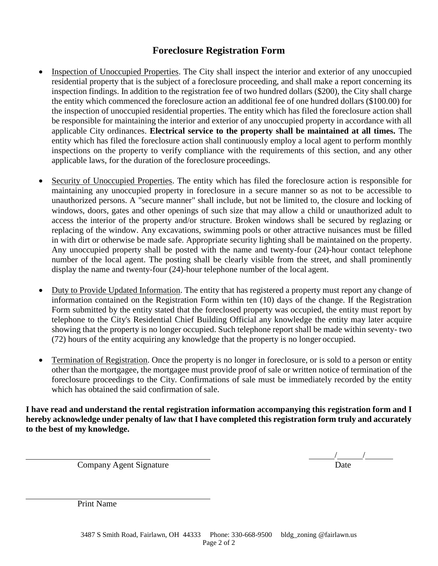## **Foreclosure Registration Form**

- Inspection of Unoccupied Properties. The City shall inspect the interior and exterior of any unoccupied residential property that is the subject of a foreclosure proceeding, and shall make a report concerning its inspection findings. In addition to the registration fee of two hundred dollars (\$200), the City shall charge the entity which commenced the foreclosure action an additional fee of one hundred dollars (\$100.00) for the inspection of unoccupied residential properties. The entity which has filed the foreclosure action shall be responsible for maintaining the interior and exterior of any unoccupied property in accordance with all applicable City ordinances. **Electrical service to the property shall be maintained at all times.** The entity which has filed the foreclosure action shall continuously employ a local agent to perform monthly inspections on the property to verify compliance with the requirements of this section, and any other applicable laws, for the duration of the foreclosure proceedings.
- Security of Unoccupied Properties. The entity which has filed the foreclosure action is responsible for maintaining any unoccupied property in foreclosure in a secure manner so as not to be accessible to unauthorized persons. A "secure manner" shall include, but not be limited to, the closure and locking of windows, doors, gates and other openings of such size that may allow a child or unauthorized adult to access the interior of the property and/or structure. Broken windows shall be secured by reglazing or replacing of the window. Any excavations, swimming pools or other attractive nuisances must be filled in with dirt or otherwise be made safe. Appropriate security lighting shall be maintained on the property. Any unoccupied property shall be posted with the name and twenty-four (24)-hour contact telephone number of the local agent. The posting shall be clearly visible from the street, and shall prominently display the name and twenty-four (24)-hour telephone number of the local agent.
- Duty to Provide Updated Information. The entity that has registered a property must report any change of information contained on the Registration Form within ten (10) days of the change. If the Registration Form submitted by the entity stated that the foreclosed property was occupied, the entity must report by telephone to the City's Residential Chief Building Official any knowledge the entity may later acquire showing that the property is no longer occupied. Such telephone report shall be made within seventy- two (72) hours of the entity acquiring any knowledge that the property is no longer occupied.
- Termination of Registration. Once the property is no longer in foreclosure, or is sold to a person or entity other than the mortgagee, the mortgagee must provide proof of sale or written notice of termination of the foreclosure proceedings to the City. Confirmations of sale must be immediately recorded by the entity which has obtained the said confirmation of sale.

**I have read and understand the rental registration information accompanying this registration form and I hereby acknowledge under penalty of law that I have completed this registration form truly and accurately to the best of my knowledge.**

Company Agent Signature

 $\frac{1}{\text{Date}}$ 

Print Name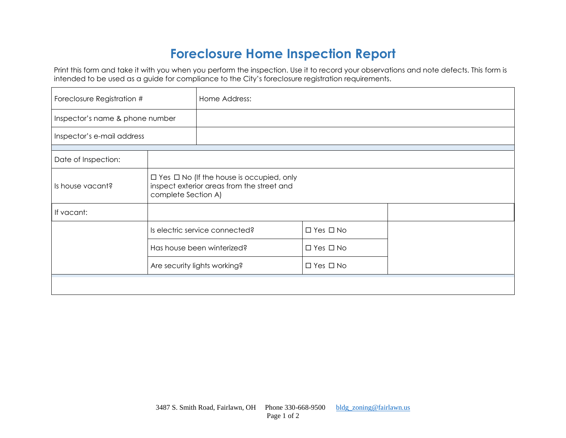## **Foreclosure Home Inspection Report**

Print this form and take it with you when you perform the inspection. Use it to record your observations and note defects. This form is intended to be used as a guide for compliance to the City's foreclosure registration requirements.

| Foreclosure Registration #      |                              | Home Address:                                                                                      |                      |  |
|---------------------------------|------------------------------|----------------------------------------------------------------------------------------------------|----------------------|--|
| Inspector's name & phone number |                              |                                                                                                    |                      |  |
| Inspector's e-mail address      |                              |                                                                                                    |                      |  |
| Date of Inspection:             |                              |                                                                                                    |                      |  |
| Is house vacant?                | complete Section A)          | $\Box$ Yes $\Box$ No (If the house is occupied, only<br>inspect exterior areas from the street and |                      |  |
| If vacant:                      |                              |                                                                                                    |                      |  |
|                                 |                              | Is electric service connected?                                                                     | $\Box$ Yes $\Box$ No |  |
|                                 |                              | Has house been winterized?                                                                         | $\Box$ Yes $\Box$ No |  |
|                                 | Are security lights working? |                                                                                                    | $\Box$ Yes $\Box$ No |  |
|                                 |                              |                                                                                                    |                      |  |